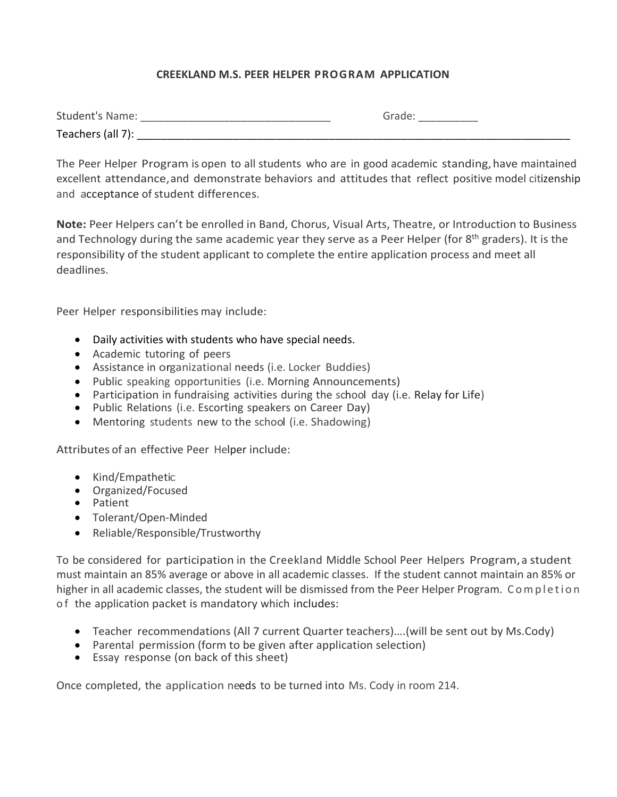## **CREEKLAND M.S. PEER HELPER PROGRAM APPLICATION**

| <b>Student's Name:</b> | $-$ |
|------------------------|-----|
| Teachers (all 7):      |     |

The Peer Helper Program is open to all students who are in good academic standing,have maintained excellent attendance,and demonstrate behaviors and attitudes that reflect positive model citizenship and acceptance of student differences.

**Note:** Peer Helpers can't be enrolled in Band, Chorus, Visual Arts, Theatre, or Introduction to Business and Technology during the same academic year they serve as a Peer Helper (for  $8<sup>th</sup>$  graders). It is the responsibility of the student applicant to complete the entire application process and meet all deadlines.

Peer Helper responsibilities may include:

- Daily activities with students who have special needs.
- Academic tutoring of peers
- Assistance in organizational needs (i.e. Locker Buddies)
- Public speaking opportunities (i.e. Morning Announcements)
- Participation in fundraising activities during the school day (i.e. Relay for Life)
- Public Relations (i.e. Escorting speakers on Career Day)
- Mentoring students new to the school (i.e. Shadowing)

Attributes of an effective Peer Helper include:

- Kind/Empathetic
- Organized/Focused
- Patient
- Tolerant/Open-Minded
- Reliable/Responsible/Trustworthy

To be considered for participation in the Creekland Middle School Peer Helpers Program,a student must maintain an 85% average or above in all academic classes. If the student cannot maintain an 85% or higher in all academic classes, the student will be dismissed from the Peer Helper Program. Completion of the application packet is mandatory which includes:

- Teacher recommendations (All 7 current Quarter teachers)….(will be sent out by Ms.Cody)
- Parental permission (form to be given after application selection)
- Essay response (on back of this sheet)

Once completed, the application needs to be turned into Ms. Cody in room 214.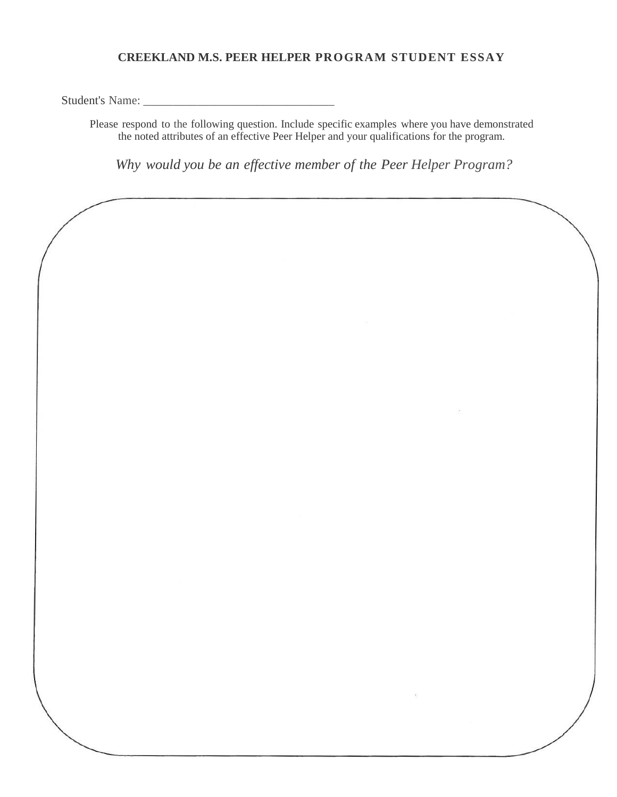## **CREEKLAND M.S. PEER HELPER PROGRAM STUDENT ESSAY**

Student's Name:

Please respond to the following question. Include specific examples where you have demonstrated the noted attributes of an effective Peer Helper and your qualifications for the program.

*Why would you be an effective member of the Peer Helper Program?*